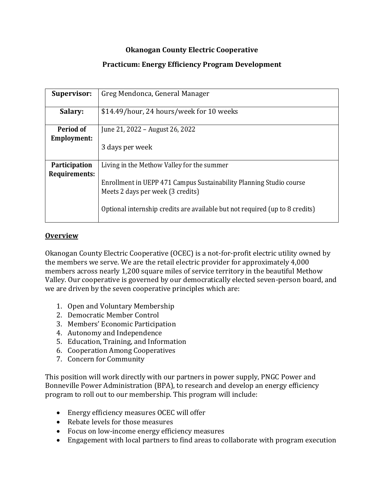## **Okanogan County Electric Cooperative**

### **Practicum: Energy Efficiency Program Development**

| <b>Supervisor:</b>                    | Greg Mendonca, General Manager                                                                           |
|---------------------------------------|----------------------------------------------------------------------------------------------------------|
| Salary:                               | \$14.49/hour, 24 hours/week for 10 weeks                                                                 |
| Period of<br>Employment:              | June 21, 2022 – August 26, 2022                                                                          |
|                                       | 3 days per week                                                                                          |
| <b>Participation</b><br>Requirements: | Living in the Methow Valley for the summer                                                               |
|                                       | Enrollment in UEPP 471 Campus Sustainability Planning Studio course<br>Meets 2 days per week (3 credits) |
|                                       | Optional internship credits are available but not required (up to 8 credits)                             |

#### **Overview**

Okanogan County Electric Cooperative (OCEC) is a not-for-profit electric utility owned by the members we serve. We are the retail electric provider for approximately 4,000 members across nearly 1,200 square miles of service territory in the beautiful Methow Valley. Our cooperative is governed by our democratically elected seven-person board, and we are driven by the seven cooperative principles which are:

- 1. Open and Voluntary Membership
- 2. Democratic Member Control
- 3. Members' Economic Participation
- 4. Autonomy and Independence
- 5. Education, Training, and Information
- 6. Cooperation Among Cooperatives
- 7. Concern for Community

This position will work directly with our partners in power supply, PNGC Power and Bonneville Power Administration (BPA), to research and develop an energy efficiency program to roll out to our membership. This program will include:

- Energy efficiency measures OCEC will offer
- Rebate levels for those measures
- Focus on low-income energy efficiency measures
- Engagement with local partners to find areas to collaborate with program execution